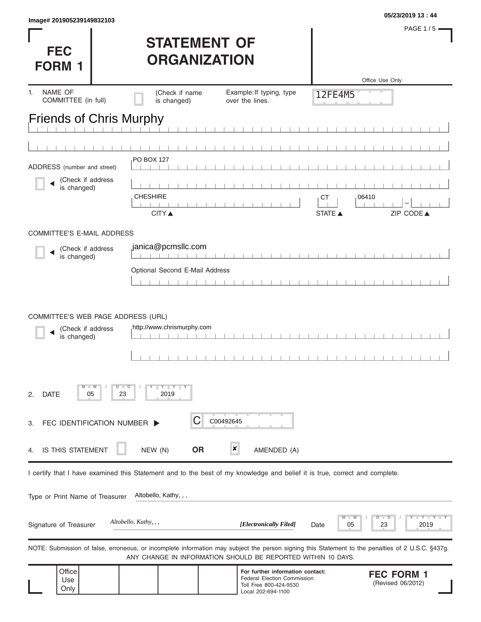|                           | 05/23/2019 13:44 |
|---------------------------|------------------|
| Image# 201905239149832103 |                  |

**FEC** 

PAGE 1/5 $=$ 

## **STATEMENT OF ORGANIZATION**

| <b>FORM 1</b>                                                          |                                                     | UNUANIZAI IUN                  |                                                                                                                            |                                                                                                                                                   |
|------------------------------------------------------------------------|-----------------------------------------------------|--------------------------------|----------------------------------------------------------------------------------------------------------------------------|---------------------------------------------------------------------------------------------------------------------------------------------------|
|                                                                        |                                                     |                                |                                                                                                                            | Office Use Only                                                                                                                                   |
| NAME OF<br>1.<br>COMMITTEE (in full)                                   |                                                     | (Check if name<br>is changed)  | Example: If typing, type<br>over the lines.                                                                                | 12FE4M5                                                                                                                                           |
| <b>Friends of Chris Murphy</b>                                         |                                                     |                                |                                                                                                                            |                                                                                                                                                   |
|                                                                        |                                                     |                                |                                                                                                                            |                                                                                                                                                   |
|                                                                        |                                                     |                                |                                                                                                                            |                                                                                                                                                   |
| ADDRESS (number and street)                                            |                                                     | PO BOX 127                     |                                                                                                                            |                                                                                                                                                   |
| (Check if address<br>is changed)                                       |                                                     | <b>CHESHIRE</b>                |                                                                                                                            | 06410<br><b>CT</b>                                                                                                                                |
|                                                                        |                                                     | <b>CITY</b> ▲                  |                                                                                                                            | ZIP CODE▲<br><b>STATE ▲</b>                                                                                                                       |
| <b>COMMITTEE'S E-MAIL ADDRESS</b>                                      |                                                     |                                |                                                                                                                            |                                                                                                                                                   |
| (Check if address                                                      |                                                     | janica@pcmsllc.com             |                                                                                                                            |                                                                                                                                                   |
| is changed)                                                            |                                                     |                                |                                                                                                                            |                                                                                                                                                   |
|                                                                        |                                                     | Optional Second E-Mail Address |                                                                                                                            |                                                                                                                                                   |
|                                                                        |                                                     |                                |                                                                                                                            |                                                                                                                                                   |
| COMMITTEE'S WEB PAGE ADDRESS (URL)<br>(Check if address<br>is changed) |                                                     | http://www.chrismurphy.com     |                                                                                                                            |                                                                                                                                                   |
| <b>DATE</b><br>2.                                                      | D<br>$\blacksquare$<br>$\blacksquare$ M<br>05<br>23 | $Y \perp Y \perp$<br>2019      |                                                                                                                            |                                                                                                                                                   |
| FEC IDENTIFICATION NUMBER D<br>3.                                      |                                                     | С                              | C00492645                                                                                                                  |                                                                                                                                                   |
| IS THIS STATEMENT<br>4.                                                |                                                     | <b>OR</b><br>NEW (N)           | $\boldsymbol{x}$<br>AMENDED (A)                                                                                            |                                                                                                                                                   |
|                                                                        |                                                     |                                | I certify that I have examined this Statement and to the best of my knowledge and belief it is true, correct and complete. |                                                                                                                                                   |
| Type or Print Name of Treasurer                                        |                                                     | Altobello, Kathy, , ,          |                                                                                                                            |                                                                                                                                                   |
| Signature of Treasurer                                                 |                                                     | Altobello, Kathy, , ,          | [Electronically Filed]                                                                                                     | $-Y - Y$<br>23<br>2019<br>05<br>Date                                                                                                              |
|                                                                        |                                                     |                                | ANY CHANGE IN INFORMATION SHOULD BE REPORTED WITHIN 10 DAYS.                                                               | NOTE: Submission of false, erroneous, or incomplete information may subject the person signing this Statement to the penalties of 2 U.S.C. §437g. |
| Office<br>Use<br>Only                                                  |                                                     |                                | For further information contact:<br>Federal Election Commission<br>Toll Free 800-424-9530<br>Local 202-694-1100            | <b>FEC FORM 1</b><br>(Revised 06/2012)                                                                                                            |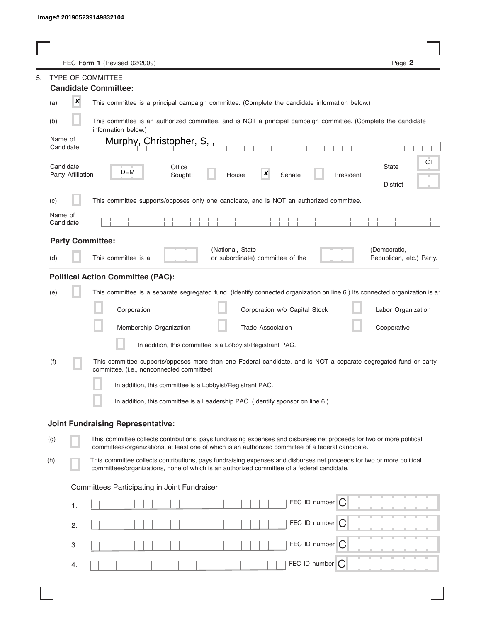L

|     |                                | FEC Form 1 (Revised 02/2009)                                                                                                                                                                                                | Page 2                         |
|-----|--------------------------------|-----------------------------------------------------------------------------------------------------------------------------------------------------------------------------------------------------------------------------|--------------------------------|
| 5.  |                                | <b>TYPE OF COMMITTEE</b><br><b>Candidate Committee:</b>                                                                                                                                                                     |                                |
| (a) | $\boldsymbol{x}$               | This committee is a principal campaign committee. (Complete the candidate information below.)                                                                                                                               |                                |
| (b) |                                | This committee is an authorized committee, and is NOT a principal campaign committee. (Complete the candidate                                                                                                               |                                |
|     | Name of                        | information below.)<br>Murphy, Christopher, S,,                                                                                                                                                                             |                                |
|     | Candidate                      |                                                                                                                                                                                                                             |                                |
|     | Candidate<br>Party Affiliation | Office<br>DEM<br>×<br>Sought:<br>House<br>Senate<br>President                                                                                                                                                               | CT<br><b>State</b><br>District |
| (c) |                                | This committee supports/opposes only one candidate, and is NOT an authorized committee.                                                                                                                                     |                                |
|     | Name of<br>Candidate           |                                                                                                                                                                                                                             |                                |
|     |                                | <b>Party Committee:</b><br>(National, State                                                                                                                                                                                 | (Democratic,                   |
| (d) |                                | This committee is a<br>or subordinate) committee of the                                                                                                                                                                     | Republican, etc.) Party.       |
|     |                                | <b>Political Action Committee (PAC):</b>                                                                                                                                                                                    |                                |
| (e) |                                | This committee is a separate segregated fund. (Identify connected organization on line 6.) Its connected organization is a:                                                                                                 |                                |
|     |                                | Corporation<br>Corporation w/o Capital Stock                                                                                                                                                                                | Labor Organization             |
|     |                                | Membership Organization<br><b>Trade Association</b>                                                                                                                                                                         | Cooperative                    |
|     |                                | In addition, this committee is a Lobbyist/Registrant PAC.                                                                                                                                                                   |                                |
| (f) |                                | This committee supports/opposes more than one Federal candidate, and is NOT a separate segregated fund or party<br>committee. (i.e., nonconnected committee)                                                                |                                |
|     |                                | In addition, this committee is a Lobbyist/Registrant PAC.                                                                                                                                                                   |                                |
|     |                                | In addition, this committee is a Leadership PAC. (Identify sponsor on line 6.)                                                                                                                                              |                                |
|     |                                | <b>Joint Fundraising Representative:</b>                                                                                                                                                                                    |                                |
| (g) |                                | This committee collects contributions, pays fundraising expenses and disburses net proceeds for two or more political<br>committees/organizations, at least one of which is an authorized committee of a federal candidate. |                                |
| (h) |                                | This committee collects contributions, pays fundraising expenses and disburses net proceeds for two or more political<br>committees/organizations, none of which is an authorized committee of a federal candidate.         |                                |
|     |                                | Committees Participating in Joint Fundraiser                                                                                                                                                                                |                                |
|     | 1.                             | FEC ID number $\boxed{C}$                                                                                                                                                                                                   |                                |
|     | 2.                             | FEC ID number C                                                                                                                                                                                                             |                                |
|     |                                | FEC ID number<br>$\mathcal{C}$                                                                                                                                                                                              |                                |
|     | З.                             |                                                                                                                                                                                                                             |                                |
|     | 4.                             | FEC ID number<br>$\bigcap$                                                                                                                                                                                                  |                                |

I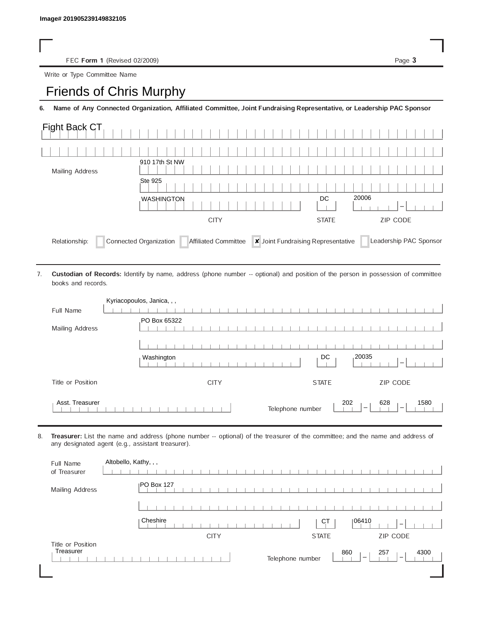FEC Form 1 (Revised 02/2009) Page 3

Write or Type Committee Name

## Image# 201905239149832105<br>
FEC Form 1 (Revised 02/2009)<br>
Write or Type Committee Name<br> **Friends of Chris Murphy**

6. Name of Any Connected Organization, Affiliated Committee, Joint Fundraising Representative, or Leadership PAC Sponsor

| Fight Back CT          |                   |                                         |
|------------------------|-------------------|-----------------------------------------|
|                        |                   |                                         |
| <b>Mailing Address</b> | 910 17th St NW    |                                         |
|                        | Ste 925           |                                         |
|                        | <b>WASHINGTON</b> | 20006<br>DC<br>$\overline{\phantom{a}}$ |
|                        |                   |                                         |
|                        | <b>CITY</b>       | <b>ZIP CODE</b><br><b>STATE</b>         |

Custodian of Records: Identify by name, address (phone number -- optional) and position of the person in possession of committee books and records. 7.

|                   | Kyriacopoulos, Janica, , ,                                         |
|-------------------|--------------------------------------------------------------------|
| Full Name         |                                                                    |
| Mailing Address   | PO Box 65322                                                       |
|                   |                                                                    |
|                   | 20035<br>DC<br>Washington<br>$\overline{\phantom{a}}$              |
| Title or Position | ZIP CODE<br><b>STATE</b><br><b>CITY</b>                            |
| Asst. Treasurer   | 202<br>628<br>1580<br>Telephone number<br>$\overline{\phantom{a}}$ |

8. Treasurer: List the name and address (phone number -- optional) of the treasurer of the committee; and the name and address of any designated agent (e.g., assistant treasurer).

| Full Name<br>of Treasurer      | Altobello, Kathy, , ,                                                                          |
|--------------------------------|------------------------------------------------------------------------------------------------|
| Mailing Address                | <b>IPO Box 127</b>                                                                             |
|                                |                                                                                                |
|                                | Cheshire<br>106410<br><b>CT</b><br>$\overline{\phantom{a}}$                                    |
|                                | <b>CITY</b><br>ZIP CODE<br><b>STATE</b>                                                        |
| Title or Position<br>Treasurer | 860<br>257<br>4300<br>Telephone number<br>$\overline{\phantom{a}}$<br>$\overline{\phantom{a}}$ |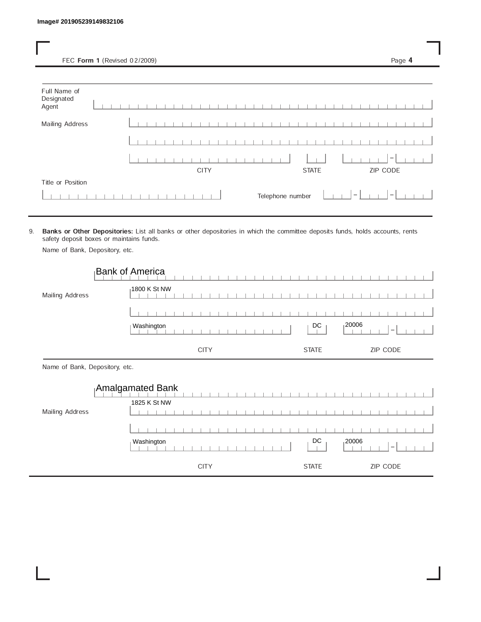FEC Form 1 (Revised 02/2009) Page 4

| Full Name of<br>Designated<br>Agent |  |  |  |  |  |             |  |  |  |  |  |                  |              |  |                                 |  |                                 |  |  |
|-------------------------------------|--|--|--|--|--|-------------|--|--|--|--|--|------------------|--------------|--|---------------------------------|--|---------------------------------|--|--|
| <b>Mailing Address</b>              |  |  |  |  |  |             |  |  |  |  |  |                  |              |  |                                 |  |                                 |  |  |
|                                     |  |  |  |  |  |             |  |  |  |  |  |                  |              |  |                                 |  |                                 |  |  |
|                                     |  |  |  |  |  |             |  |  |  |  |  |                  |              |  |                                 |  | $\hspace{0.1mm}-\hspace{0.1mm}$ |  |  |
|                                     |  |  |  |  |  | <b>CITY</b> |  |  |  |  |  |                  | <b>STATE</b> |  |                                 |  | ZIP CODE                        |  |  |
| Title or Position                   |  |  |  |  |  |             |  |  |  |  |  |                  |              |  |                                 |  |                                 |  |  |
|                                     |  |  |  |  |  |             |  |  |  |  |  | Telephone number |              |  | $\hspace{0.1mm}-\hspace{0.1mm}$ |  | $\vert - \vert$                 |  |  |

9. Banks or Other Depositories: List all banks or other depositories in which the committee deposits funds, holds accounts, rents safety deposit boxes or maintains funds.

Name of Bank, Depository, etc.

 $\overline{\phantom{a}}$  $\overline{\phantom{a}}$ 

 $\overline{\phantom{a}}$ 

|                                | <b>Bank of America</b>           |                                  |
|--------------------------------|----------------------------------|----------------------------------|
| Mailing Address                | 1800 K St NW                     |                                  |
|                                |                                  |                                  |
|                                | Washington                       | 120006<br>DC<br>$\hspace{0.5cm}$ |
|                                | <b>CITY</b>                      | <b>ZIP CODE</b><br><b>STATE</b>  |
| Name of Bank, Depository, etc. |                                  |                                  |
|                                | Amalgamated Bank<br>1825 K St NW |                                  |
|                                |                                  |                                  |

Washington DC 20006

 $\overline{\phantom{a}}$ 

 $\overline{\phantom{a}}$ 

 $\overline{\phantom{a}}$ 

CITY STATE ZIP CODE

 $\bot$  $\overline{\phantom{0}}$  $\perp$  $\overline{\phantom{a}}$ 

 $\mathbb{I}$ 

 $\overline{\phantom{a}}$  $\overline{\phantom{a}}$  $\begin{array}{c} \hline \end{array}$ 

 $\overline{\phantom{0}}$ 

 $\overline{\phantom{a}}$ 

 $\overline{1}$ 

 $\overline{\phantom{a}}$